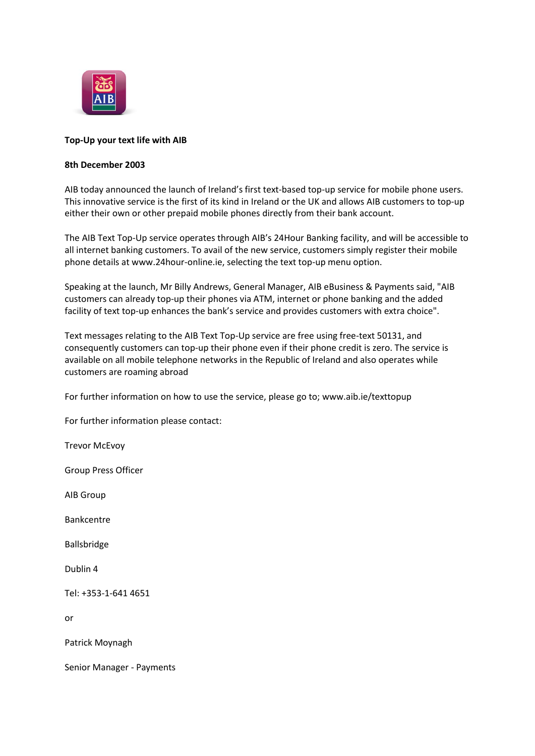

## **Top-Up your text life with AIB**

## **8th December 2003**

AIB today announced the launch of Ireland's first text-based top-up service for mobile phone users. This innovative service is the first of its kind in Ireland or the UK and allows AIB customers to top-up either their own or other prepaid mobile phones directly from their bank account.

The AIB Text Top-Up service operates through AIB's 24Hour Banking facility, and will be accessible to all internet banking customers. To avail of the new service, customers simply register their mobile phone details at www.24hour-online.ie, selecting the text top-up menu option.

Speaking at the launch, Mr Billy Andrews, General Manager, AIB eBusiness & Payments said, "AIB customers can already top-up their phones via ATM, internet or phone banking and the added facility of text top-up enhances the bank's service and provides customers with extra choice".

Text messages relating to the AIB Text Top-Up service are free using free-text 50131, and consequently customers can top-up their phone even if their phone credit is zero. The service is available on all mobile telephone networks in the Republic of Ireland and also operates while customers are roaming abroad

For further information on how to use the service, please go to; www.aib.ie/texttopup

For further information please contact:

Trevor McEvoy

Group Press Officer

AIB Group

Bankcentre

Ballsbridge

Dublin 4

Tel: +353-1-641 4651

or

Patrick Moynagh

Senior Manager - Payments